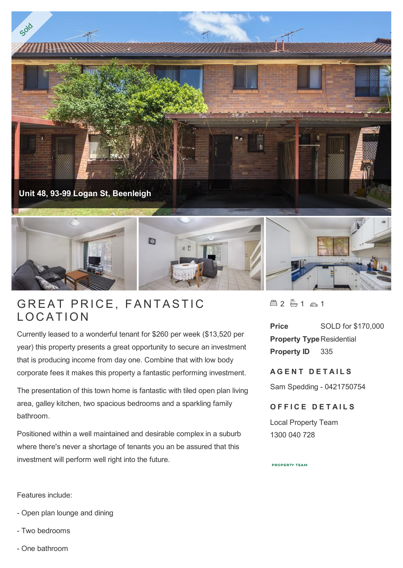

## **GREAT PRICE**<br>LOCATION

Currently leased to a wonderful tenant for \$260 per week (\$13,520 per year) this property presents a great opportunity to secure an investment that is producing income from day one. Combine that with low body corporate fees it makes this property a fantastic performing investment.

The presentation of this town home is fantastic with tiled open plan living area, galley kitchen, two spacious bedrooms and a sparkling family bathroom.

Positioned within a well maintained and desirable complex in a suburb where there's never a shortage of tenants you an be assured that this investment will perform well right into the future.

 $42 - 1$   $2 + 1$ 

**Price** SOLD for \$170,000 **Property Type Residential Property ID** 335

**A G E N T D E T A I L S**

Sam Spedding - 0421750754

## **OFFICE DETAILS**

Local Property Team 1300 040 728

**PROPERTY TEAM** 

Features include:

- Open plan lounge and dining
- Two bedrooms
- One bathroom